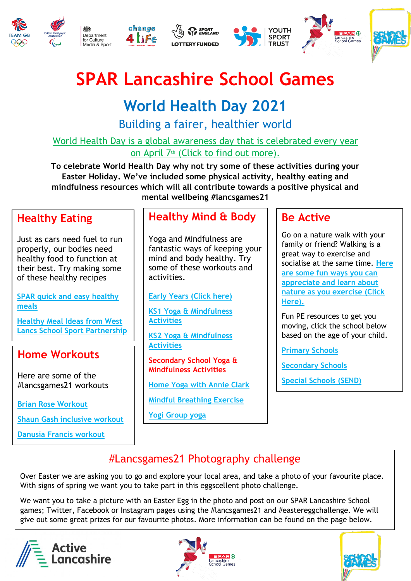









# **SPAR Lancashire School Games**

## **World Health Day 2021**

Building a fairer, healthier world

[World Health Day is a global awareness day that is celebrated every year](https://www.youtube.com/watch?v=SJn3CTNrc88)  on April 7<sup>th</sup> [\(Click to find out more\).](https://www.youtube.com/watch?v=SJn3CTNrc88)

**To celebrate World Health Day why not try some of these activities during your Easter Holiday. We've included some physical activity, healthy eating and mindfulness resources which will all contribute towards a positive physical and mental wellbeing #lancsgames21**

#### **Healthy Eating**

Just as cars need fuel to run properly, our bodies need healthy food to function at their best. Try making some of these healthy recipes

**[SPAR quick and easy healthy](https://www.spar.co.uk/there-for-you/quick-healthy-meals-for-the-after-school-rush)  [meals](https://www.spar.co.uk/there-for-you/quick-healthy-meals-for-the-after-school-rush)**

**[Healthy Meal Ideas from West](https://drive.google.com/drive/folders/1DtE5Sb2Quoqmnj5hez63s3ufRwws3OlP?usp=sharing)  [Lancs School Sport Partnership](https://drive.google.com/drive/folders/1DtE5Sb2Quoqmnj5hez63s3ufRwws3OlP?usp=sharing)**

#### **Home Workouts**

Here are some of the #lancsgames21 workouts

**[Brian Rose Workout](https://www.youtube.com/watch?v=BscPgx6M0qk)**

**[Shaun Gash inclusive workout](https://www.youtube.com/watch?v=pix4amMGGw4)**

**[Danusia Francis workout](https://www.youtube.com/watch?v=m0zJ_LTKBs8)**

#### **Healthy Mind & Body**

Yoga and Mindfulness are fantastic ways of keeping your mind and body healthy. Try some of these workouts and activities.

**[Early Years \(Click here\)](https://www.bing.com/videos/search?q=yoga+for+kids&docid=608035132164539683&mid=A8E11340CF2338E57112A8E11340CF2338E57112&view=detail&FORM=VIRE)**

**[KS1 Yoga & Mindfulness](https://drive.google.com/drive/folders/1ZMw2QQSA69EFtu9LOcqBvQTFls7AOQ8Y?usp=sharing)  [Activities](https://drive.google.com/drive/folders/1ZMw2QQSA69EFtu9LOcqBvQTFls7AOQ8Y?usp=sharing)**

**[KS2 Yoga & Mindfulness](https://drive.google.com/drive/folders/1ZjT5KpSYWNgSvet8T_hGEbh8OiAKouNl?usp=sharing)  [Activities](https://drive.google.com/drive/folders/1ZjT5KpSYWNgSvet8T_hGEbh8OiAKouNl?usp=sharing)**

**Secondary School Yoga & Mindfulness Activities**

**[Home Yoga with Annie Clark](https://www.youtube.com/watch?v=S5mf2bw_P9M)**

**[Mindful Breathing Exercise](https://www.youtube.com/watch?v=wfDTp2GogaQ)**

**[Yogi Group yoga](https://www.youtube.com/watch?v=JUfwt8SuelY&feature=youtu.be)**

#### **Be Active**

Go on a nature walk with your family or friend? Walking is a great way to exercise and socialise at the same time. **[Here](https://drive.google.com/drive/folders/1SJXI9O3jICIXi8qiSlXvnBKKFru7XqOJ?usp=sharing)  [are some fun ways you can](https://drive.google.com/drive/folders/1SJXI9O3jICIXi8qiSlXvnBKKFru7XqOJ?usp=sharing)  [appreciate and learn about](https://drive.google.com/drive/folders/1SJXI9O3jICIXi8qiSlXvnBKKFru7XqOJ?usp=sharing)  [nature as you exercise \(Click](https://drive.google.com/drive/folders/1SJXI9O3jICIXi8qiSlXvnBKKFru7XqOJ?usp=sharing)  [Here\).](https://drive.google.com/drive/folders/1SJXI9O3jICIXi8qiSlXvnBKKFru7XqOJ?usp=sharing)**

Fun PE resources to get you moving, click the school below based on the age of your child.

**[Primary Schools](https://www.youthsporttrust.org/primary-pe-activities)**

**[Secondary Schools](https://www.youthsporttrust.org/free-home-learning-resources-secondary)**

**[Special Schools \(SEND\)](https://www.youthsporttrust.org/thisispe-send-activities)**

#### #Lancsgames21 Photography challenge

Over Easter we are asking you to go and explore your local area, and take a photo of your favourite place. With signs of spring we want you to take part in this eggscellent photo challenge.

We want you to take a picture with an Easter Egg in the photo and post on our SPAR Lancashire School games; Twitter, Facebook or Instagram pages using the #lancsgames21 and #eastereggchallenge. We will give out some great prizes for our favourite photos. More information can be found on the page below.